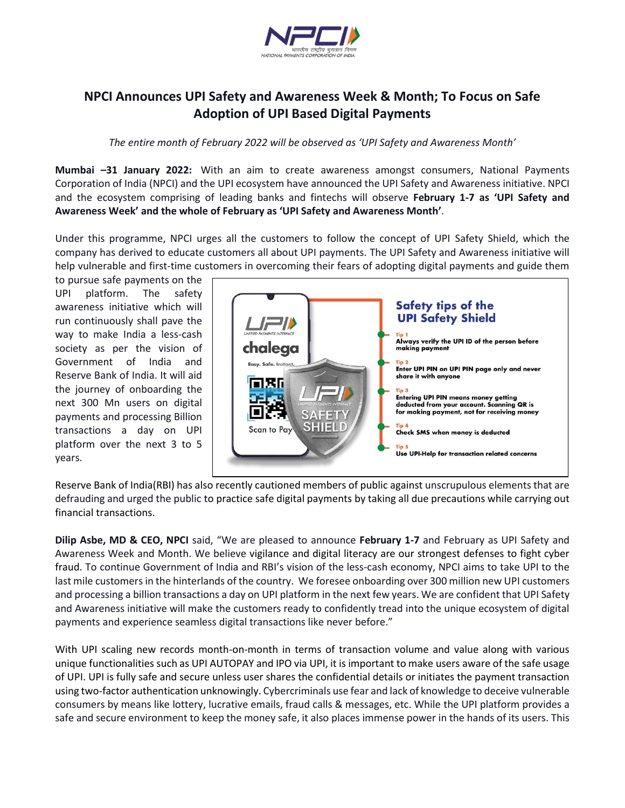

## **NPCI Announces UPI Safety and Awareness Week & Month; To Focus on Safe Adoption of UPI Based Digital Payments**

*The entire month of February 2022 will be observed as 'UPI Safety and Awareness Month'*

**Mumbai –31 January 2022:** With an aim to create awareness amongst consumers, National Payments Corporation of India (NPCI) and the UPI ecosystem have announced the UPI Safety and Awareness initiative. NPCI and the ecosystem comprising of leading banks and fintechs will observe **February 1-7 as 'UPI Safety and Awareness Week' and the whole of February as 'UPI Safety and Awareness Month'**.

Under this programme, NPCI urges all the customers to follow the concept of UPI Safety Shield, which the company has derived to educate customers all about UPI payments. The UPI Safety and Awareness initiative will help vulnerable and first-time customers in overcoming their fears of adopting digital payments and guide them

to pursue safe payments on the UPI platform. The safety awareness initiative which will run continuously shall pave the way to make India a less-cash society as per the vision of Government of India and Reserve Bank of India. It will aid the journey of onboarding the next 300 Mn users on digital payments and processing Billion transactions a day on UPI platform over the next 3 to 5 years.



Reserve Bank of India(RBI) has also recently cautioned members of public against unscrupulous elements that are defrauding and urged the public to practice safe digital payments by taking all due precautions while carrying out financial transactions.

**Dilip Asbe, MD & CEO, NPCI** said, "We are pleased to announce **February 1-7** and February as UPI Safety and Awareness Week and Month. We believe vigilance and digital literacy are our strongest defenses to fight cyber fraud. To continue Government of India and RBI's vision of the less-cash economy, NPCI aims to take UPI to the last mile customers in the hinterlands of the country. We foresee onboarding over 300 million new UPI customers and processing a billion transactions a day on UPI platform in the next few years. We are confident that UPI Safety and Awareness initiative will make the customers ready to confidently tread into the unique ecosystem of digital payments and experience seamless digital transactions like never before."

With UPI scaling new records month-on-month in terms of transaction volume and value along with various unique functionalities such as UPI AUTOPAY and IPO via UPI, it is important to make users aware of the safe usage of UPI. UPI is fully safe and secure unless user shares the confidential details or initiates the payment transaction using two-factor authentication unknowingly. Cybercriminals use fear and lack of knowledge to deceive vulnerable consumers by means like lottery, lucrative emails, fraud calls & messages, etc. While the UPI platform provides a safe and secure environment to keep the money safe, it also places immense power in the hands of its users. This